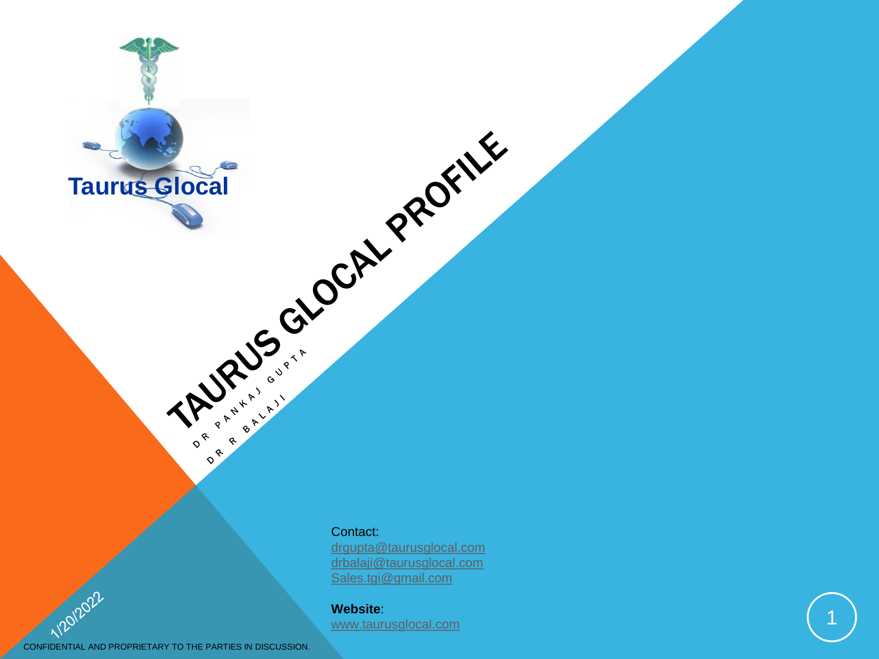

Contact:

[drgupta@taurusglocal.com](mailto:drgupta@taurusglocal.com) [drbalaji@taurusglocal.com](mailto:drgupta@taurusglocal.com) [Sales.tgi@gmail.com](mailto:Sales.tgi@gmail.com)

**Website**: [www.taurusglocal.com](http://www.taurusglocal.com/)

CONFIDENTIAL AND PROPRIETARY TO THE PARTIES IN DISCUSSION.

1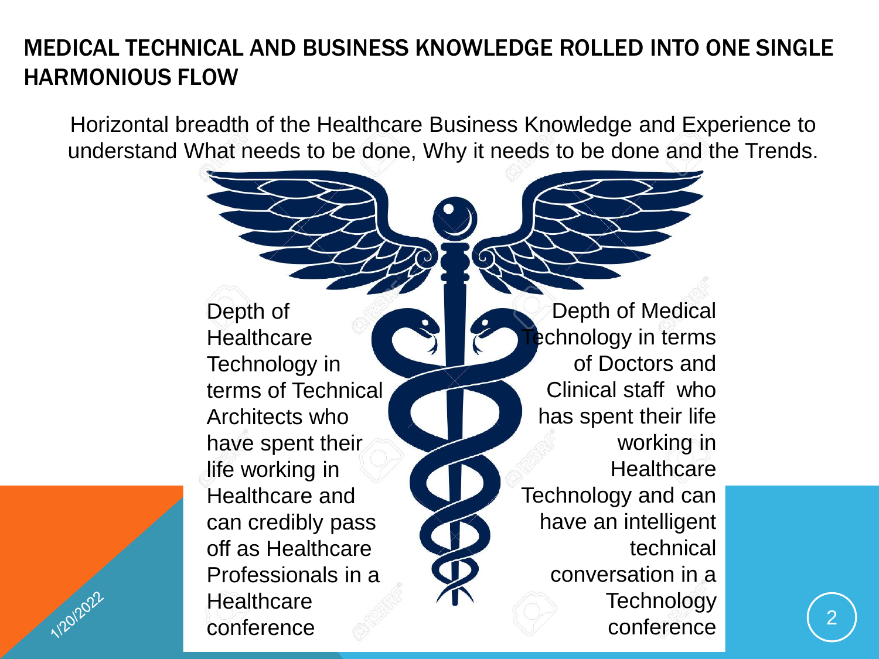## MEDICAL TECHNICAL AND BUSINESS KNOWLEDGE ROLLED INTO ONE SINGLE HARMONIOUS FLOW

Horizontal breadth of the Healthcare Business Knowledge and Experience to understand What needs to be done, Why it needs to be done and the Trends.

> Depth of **Healthcare** Technology in terms of Technical Architects who have spent their life working in Healthcare and can credibly pass off as Healthcare Professionals in a **Healthcare** conference

1/20/2022

Depth of Medical echnology in terms of Doctors and Clinical staff who has spent their life working in **Healthcare** Technology and can have an intelligent technical conversation in a **Technology** conference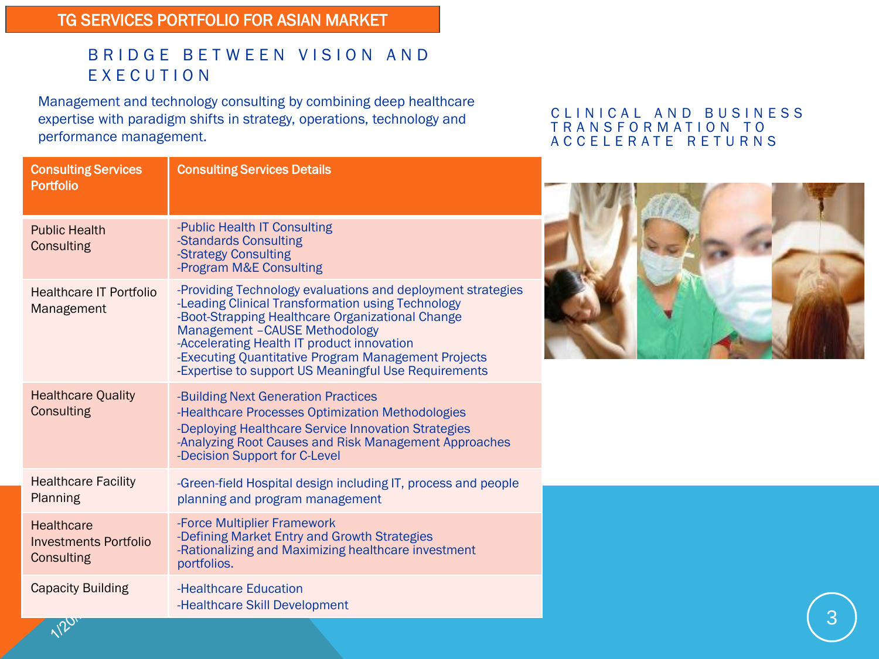#### TG SERVICES PORTFOLIO FOR ASIAN MARKET

#### B R I D G E B E T W E E N V I S I O N A N D E X E C U T I O N

Management and technology consulting by combining deep healthcare expertise with paradigm shifts in strategy, operations, technology and performance management.

#### CLINICAL AND BUSINESS T R A N S F O R M A T I O N T O A C C E L E R A T E R E T U R N S





3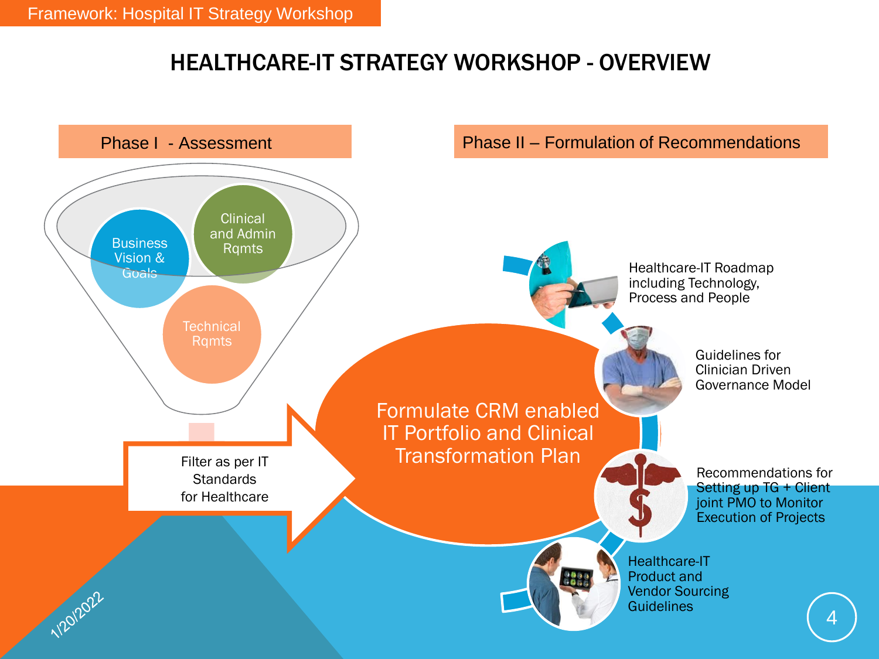### HEALTHCARE-IT STRATEGY WORKSHOP - OVERVIEW

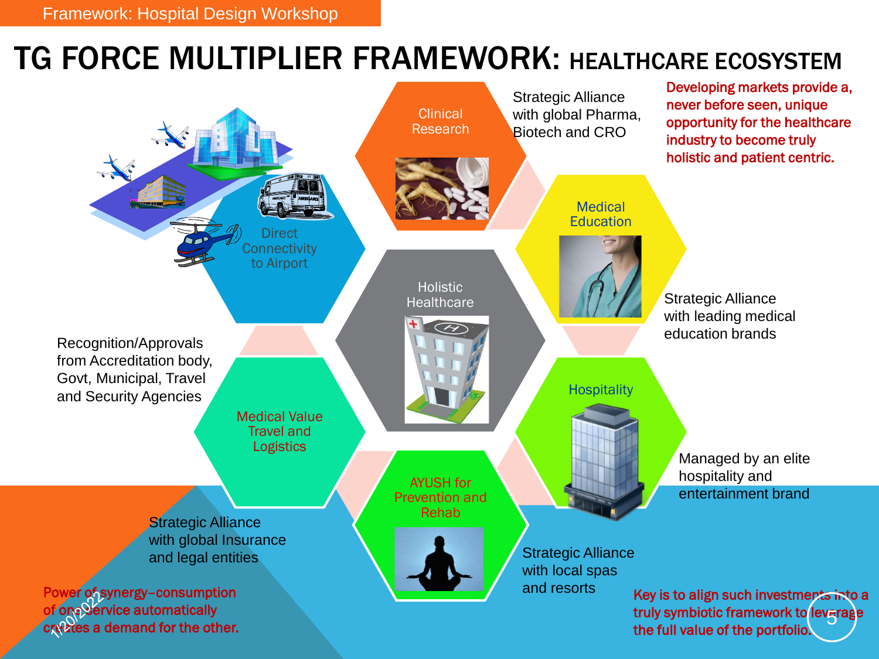## TG FORCE MULTIPLIER FRAMEWORK: HEALTHCARE ECOSYSTEM

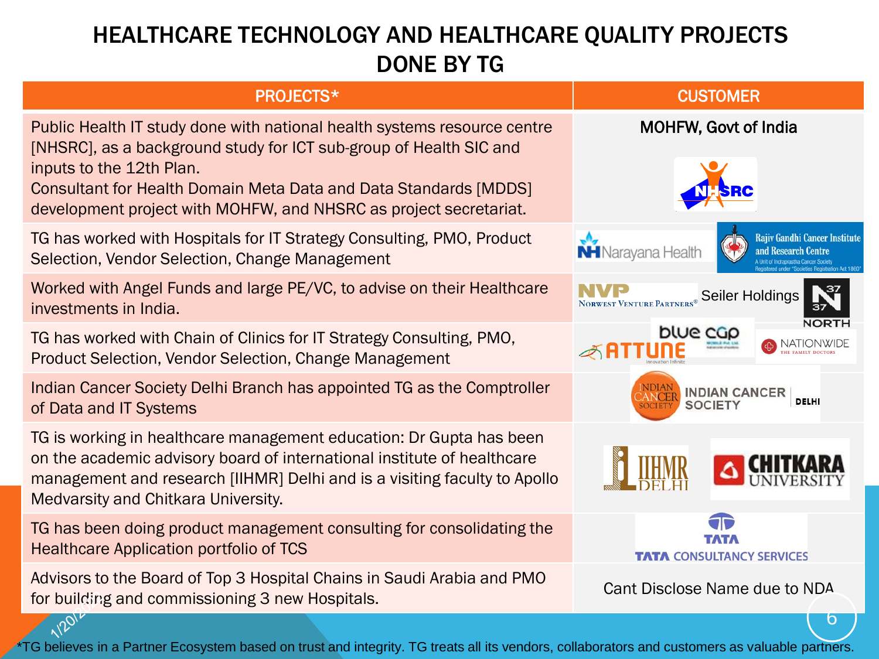## HEALTHCARE TECHNOLOGY AND HEALTHCARE QUALITY PROJECTS DONE BY TG

| <b>PROJECTS*</b>                                                                                                                                                                                                                                                                                                           | <b>CUSTOMER</b>                                                                   |  |  |
|----------------------------------------------------------------------------------------------------------------------------------------------------------------------------------------------------------------------------------------------------------------------------------------------------------------------------|-----------------------------------------------------------------------------------|--|--|
| Public Health IT study done with national health systems resource centre<br>[NHSRC], as a background study for ICT sub-group of Health SIC and<br>inputs to the 12th Plan.<br><b>Consultant for Health Domain Meta Data and Data Standards [MDDS]</b><br>development project with MOHFW, and NHSRC as project secretariat. | <b>MOHFW, Govt of India</b>                                                       |  |  |
| TG has worked with Hospitals for IT Strategy Consulting, PMO, Product<br>Selection, Vendor Selection, Change Management                                                                                                                                                                                                    | <b>Rajiy Gandhi Cancer Institute</b><br>and Research Centre<br>NH Narayana Health |  |  |
| Worked with Angel Funds and large PE/VC, to advise on their Healthcare<br>investments in India.                                                                                                                                                                                                                            | Seiler Holdings<br>NORWEST VENTURE PARTNERS                                       |  |  |
| TG has worked with Chain of Clinics for IT Strategy Consulting, PMO,<br><b>Product Selection, Vendor Selection, Change Management</b>                                                                                                                                                                                      | blue cap<br>NATIONWIDE                                                            |  |  |
| Indian Cancer Society Delhi Branch has appointed TG as the Comptroller<br>of Data and IT Systems                                                                                                                                                                                                                           | <b>INDIAN CANCER</b><br>DELHI<br><b>SOCIETY</b>                                   |  |  |
| TG is working in healthcare management education: Dr Gupta has been<br>on the academic advisory board of international institute of healthcare<br>management and research [IIHMR] Delhi and is a visiting faculty to Apollo<br>Medvarsity and Chitkara University.                                                         |                                                                                   |  |  |
| TG has been doing product management consulting for consolidating the<br><b>Healthcare Application portfolio of TCS</b>                                                                                                                                                                                                    | <b>TATA CONSULTANCY SERVICES</b>                                                  |  |  |
| Advisors to the Board of Top 3 Hospital Chains in Saudi Arabia and PMO<br>for building and commissioning 3 new Hospitals.                                                                                                                                                                                                  | Cant Disclose Name due to NDA                                                     |  |  |
|                                                                                                                                                                                                                                                                                                                            |                                                                                   |  |  |

TG believes in a Partner Ecosystem based on trust and integrity. TG treats all its vendors, collaborators and customers as valuable partners.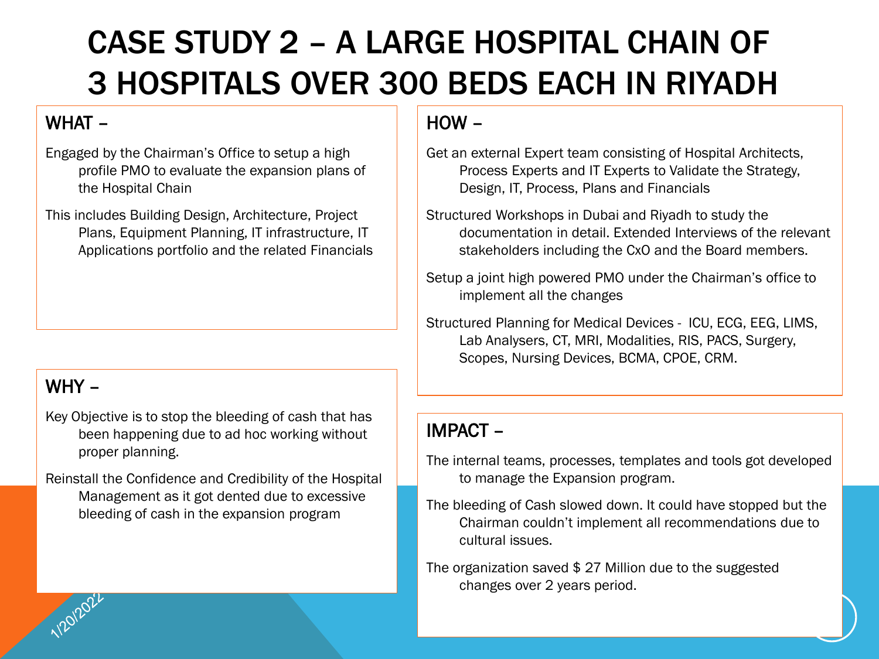# CASE STUDY 2 – A LARGE HOSPITAL CHAIN OF 3 HOSPITALS OVER 300 BEDS EACH IN RIYADH

### WHAT –

Engaged by the Chairman's Office to setup a high profile PMO to evaluate the expansion plans of the Hospital Chain

This includes Building Design, Architecture, Project Plans, Equipment Planning, IT infrastructure, IT Applications portfolio and the related Financials

### WHY –

- Key Objective is to stop the bleeding of cash that has been happening due to ad hoc working without proper planning.
- Reinstall the Confidence and Credibility of the Hospital Management as it got dented due to excessive bleeding of cash in the expansion program

### HOW –

- Get an external Expert team consisting of Hospital Architects, Process Experts and IT Experts to Validate the Strategy, Design, IT, Process, Plans and Financials
- Structured Workshops in Dubai and Riyadh to study the documentation in detail. Extended Interviews of the relevant stakeholders including the CxO and the Board members.
- Setup a joint high powered PMO under the Chairman's office to implement all the changes
- Structured Planning for Medical Devices ICU, ECG, EEG, LIMS, Lab Analysers, CT, MRI, Modalities, RIS, PACS, Surgery, Scopes, Nursing Devices, BCMA, CPOE, CRM.

- The internal teams, processes, templates and tools got developed to manage the Expansion program.
- The bleeding of Cash slowed down. It could have stopped but the Chairman couldn't implement all recommendations due to cultural issues.
- The organization saved \$ 27 Million due to the suggested changes over 2 years period.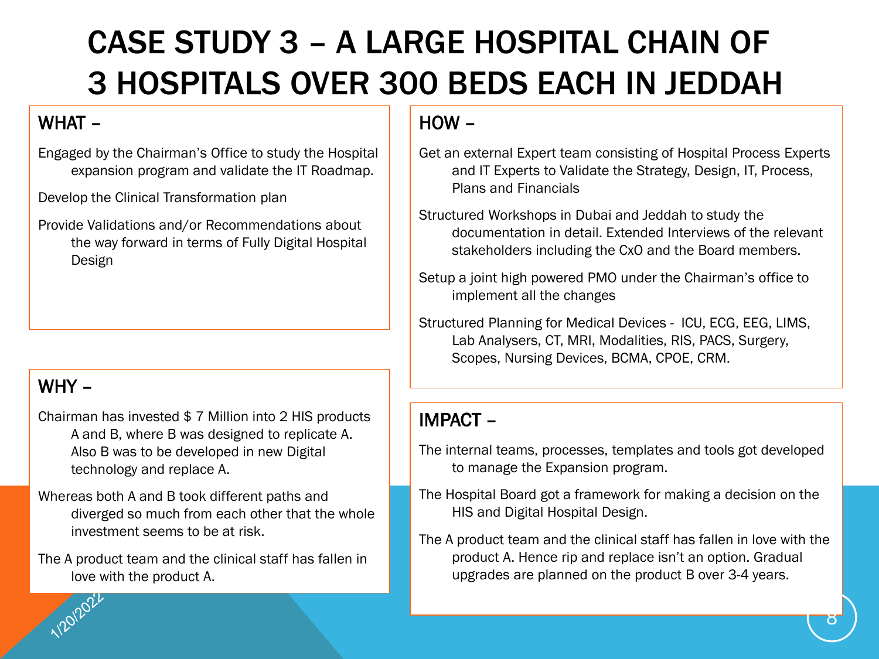# CASE STUDY 3 – A LARGE HOSPITAL CHAIN OF 3 HOSPITALS OVER 300 BEDS EACH IN JEDDAH

#### WHAT –

Engaged by the Chairman's Office to study the Hospital expansion program and validate the IT Roadmap.

Develop the Clinical Transformation plan

Provide Validations and/or Recommendations about the way forward in terms of Fully Digital Hospital Design

### WHY –

Chairman has invested \$ 7 Million into 2 HIS products A and B, where B was designed to replicate A. Also B was to be developed in new Digital technology and replace A.

Whereas both A and B took different paths and diverged so much from each other that the whole investment seems to be at risk.

The A product team and the clinical staff has fallen in love with the product A.

### HOW –

- Get an external Expert team consisting of Hospital Process Experts and IT Experts to Validate the Strategy, Design, IT, Process, Plans and Financials
- Structured Workshops in Dubai and Jeddah to study the documentation in detail. Extended Interviews of the relevant stakeholders including the CxO and the Board members.
- Setup a joint high powered PMO under the Chairman's office to implement all the changes
- Structured Planning for Medical Devices ICU, ECG, EEG, LIMS, Lab Analysers, CT, MRI, Modalities, RIS, PACS, Surgery, Scopes, Nursing Devices, BCMA, CPOE, CRM.

- The internal teams, processes, templates and tools got developed to manage the Expansion program.
- The Hospital Board got a framework for making a decision on the HIS and Digital Hospital Design.
- The A product team and the clinical staff has fallen in love with the product A. Hence rip and replace isn't an option. Gradual upgrades are planned on the product B over 3-4 years.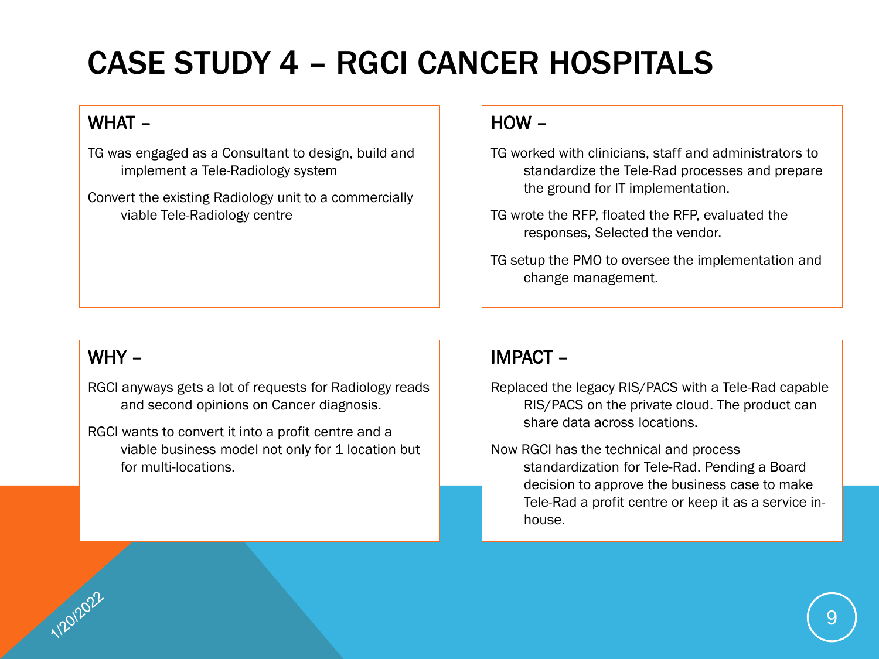# CASE STUDY 4 – RGCI CANCER HOSPITALS

#### WHAT –

TG was engaged as a Consultant to design, build and implement a Tele-Radiology system

Convert the existing Radiology unit to a commercially viable Tele-Radiology centre

#### WHY –

- RGCI anyways gets a lot of requests for Radiology reads and second opinions on Cancer diagnosis.
- RGCI wants to convert it into a profit centre and a viable business model not only for 1 location but for multi-locations.

#### HOW –

- TG worked with clinicians, staff and administrators to standardize the Tele-Rad processes and prepare the ground for IT implementation.
- TG wrote the RFP, floated the RFP, evaluated the responses, Selected the vendor.
- TG setup the PMO to oversee the implementation and change management.

- Replaced the legacy RIS/PACS with a Tele-Rad capable RIS/PACS on the private cloud. The product can share data across locations.
- Now RGCI has the technical and process standardization for Tele-Rad. Pending a Board decision to approve the business case to make Tele-Rad a profit centre or keep it as a service inhouse.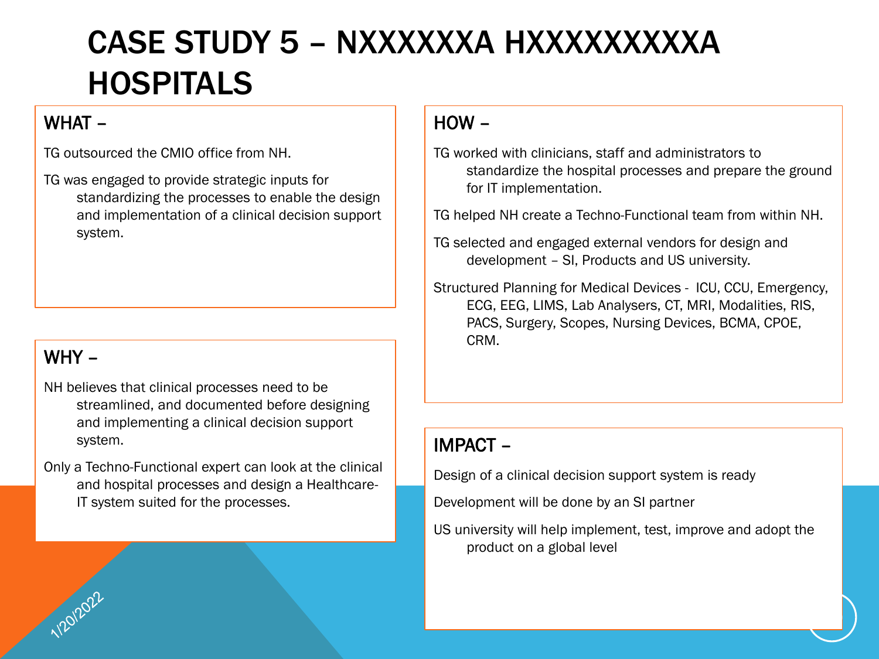## CASE STUDY 5 – NXXXXXXA HXXXXXXXXXA HOSPITALS

#### WHAT –

TG outsourced the CMIO office from NH.

TG was engaged to provide strategic inputs for standardizing the processes to enable the design and implementation of a clinical decision support system.

### WHY –

- NH believes that clinical processes need to be streamlined, and documented before designing and implementing a clinical decision support system.
- Only a Techno-Functional expert can look at the clinical and hospital processes and design a Healthcare-IT system suited for the processes.

#### HOW –

TG worked with clinicians, staff and administrators to standardize the hospital processes and prepare the ground for IT implementation.

TG helped NH create a Techno-Functional team from within NH.

TG selected and engaged external vendors for design and development – SI, Products and US university.

Structured Planning for Medical Devices - ICU, CCU, Emergency, ECG, EEG, LIMS, Lab Analysers, CT, MRI, Modalities, RIS, PACS, Surgery, Scopes, Nursing Devices, BCMA, CPOE, CRM.

#### IMPACT –

Design of a clinical decision support system is ready

Development will be done by an SI partner

US university will help implement, test, improve and adopt the product on a global level

10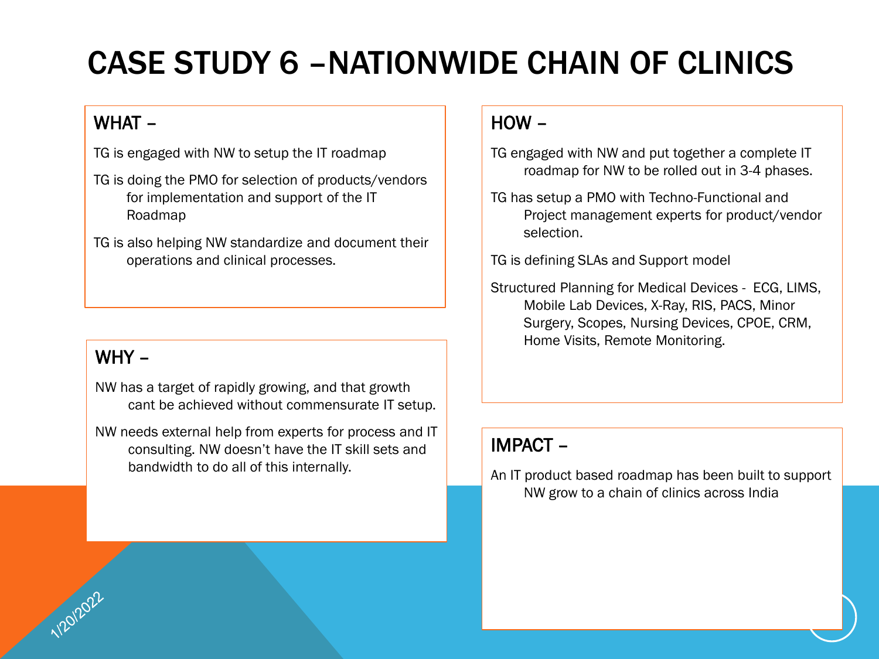# CASE STUDY 6 –NATIONWIDE CHAIN OF CLINICS

#### WHAT –

TG is engaged with NW to setup the IT roadmap

- TG is doing the PMO for selection of products/vendors for implementation and support of the IT Roadmap
- TG is also helping NW standardize and document their operations and clinical processes.

#### WHY –

NW has a target of rapidly growing, and that growth cant be achieved without commensurate IT setup.

NW needs external help from experts for process and IT consulting. NW doesn't have the IT skill sets and bandwidth to do all of this internally.

#### HOW –

- TG engaged with NW and put together a complete IT roadmap for NW to be rolled out in 3-4 phases.
- TG has setup a PMO with Techno-Functional and Project management experts for product/vendor selection.

TG is defining SLAs and Support model

Structured Planning for Medical Devices - ECG, LIMS, Mobile Lab Devices, X-Ray, RIS, PACS, Minor Surgery, Scopes, Nursing Devices, CPOE, CRM, Home Visits, Remote Monitoring.

#### IMPACT –

An IT product based roadmap has been built to support NW grow to a chain of clinics across India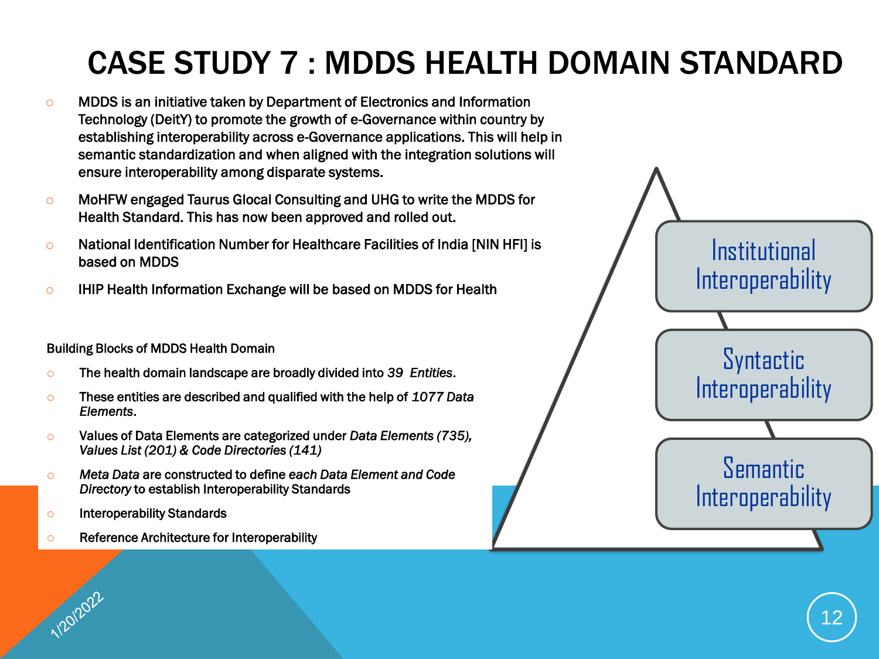# CASE STUDY 7 : MDDS HEALTH DOMAIN STANDARD

- o MDDS is an initiative taken by Department of Electronics and Information Technology (DeitY) to promote the growth of e-Governance within country by establishing interoperability across e-Governance applications. This will help in semantic standardization and when aligned with the integration solutions will ensure interoperability among disparate systems.
- o MoHFW engaged Taurus Glocal Consulting and UHG to write the MDDS for Health Standard. This has now been approved and rolled out.
- $\circ$  National Identification Number for Healthcare Facilities of India [NIN HFI] is based on MDDS
- o IHIP Health Information Exchange will be based on MDDS for Health

#### Building Blocks of MDDS Health Domain

- o The health domain landscape are broadly divided into *39 Entities*.
- o These entities are described and qualified with the help of *1077 Data Elements*.
- o Values of Data Elements are categorized under *Data Elements (735), Values List (201) & Code Directories (141)*
- o *Meta Data* are constructed to define *each Data Element and Code Directory* to establish Interoperability Standards
- o Interoperability Standards

1/20/2022

o Reference Architecture for Interoperability

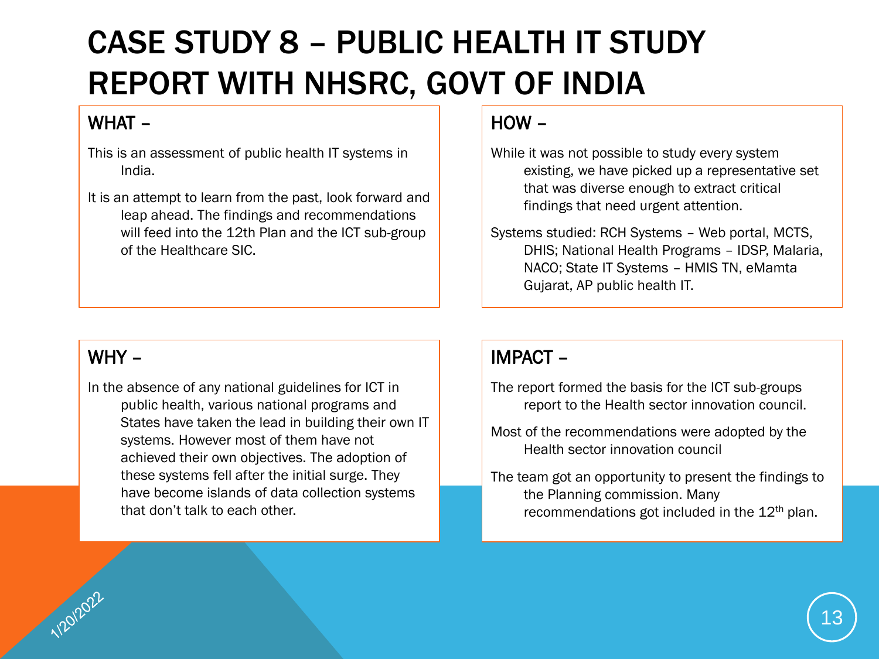# CASE STUDY 8 – PUBLIC HEALTH IT STUDY REPORT WITH NHSRC, GOVT OF INDIA

#### WHAT –

- This is an assessment of public health IT systems in India.
- It is an attempt to learn from the past, look forward and leap ahead. The findings and recommendations will feed into the 12th Plan and the ICT sub-group of the Healthcare SIC.

#### HOW –

- While it was not possible to study every system existing, we have picked up a representative set that was diverse enough to extract critical findings that need urgent attention.
- Systems studied: RCH Systems Web portal, MCTS, DHIS; National Health Programs – IDSP, Malaria, NACO; State IT Systems – HMIS TN, eMamta Gujarat, AP public health IT.

#### WHY –

In the absence of any national guidelines for ICT in public health, various national programs and States have taken the lead in building their own IT systems. However most of them have not achieved their own objectives. The adoption of these systems fell after the initial surge. They have become islands of data collection systems that don't talk to each other.

- The report formed the basis for the ICT sub-groups report to the Health sector innovation council.
- Most of the recommendations were adopted by the Health sector innovation council
- The team got an opportunity to present the findings to the Planning commission. Many recommendations got included in the  $12<sup>th</sup>$  plan.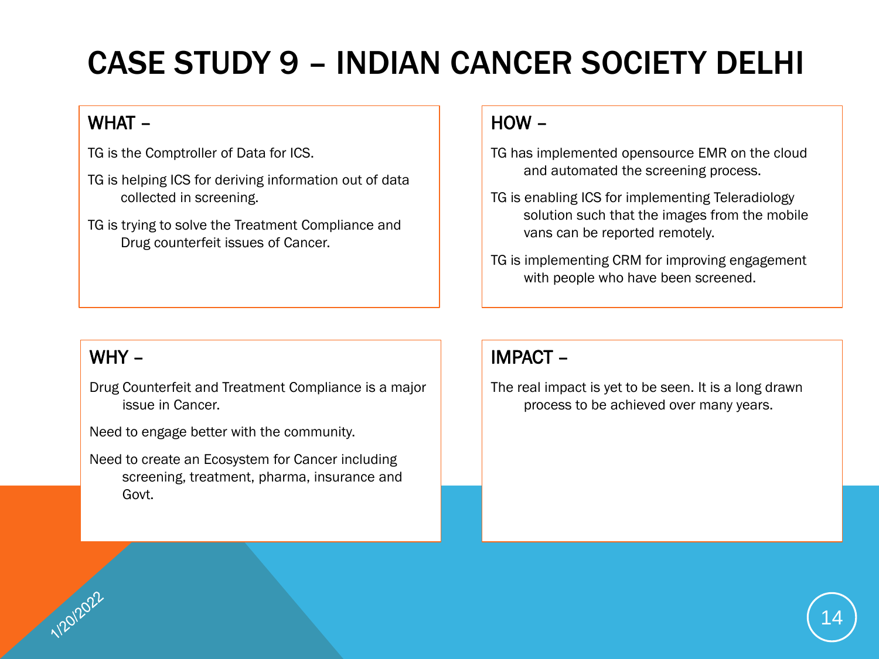# CASE STUDY 9 – INDIAN CANCER SOCIETY DELHI

### WHAT –

TG is the Comptroller of Data for ICS.

- TG is helping ICS for deriving information out of data collected in screening.
- TG is trying to solve the Treatment Compliance and Drug counterfeit issues of Cancer.

#### HOW –

- TG has implemented opensource EMR on the cloud and automated the screening process.
- TG is enabling ICS for implementing Teleradiology solution such that the images from the mobile vans can be reported remotely.
- TG is implementing CRM for improving engagement with people who have been screened.

#### WHY –

Drug Counterfeit and Treatment Compliance is a major issue in Cancer.

Need to engage better with the community.

Need to create an Ecosystem for Cancer including screening, treatment, pharma, insurance and Govt.

### IMPACT –

The real impact is yet to be seen. It is a long drawn process to be achieved over many years.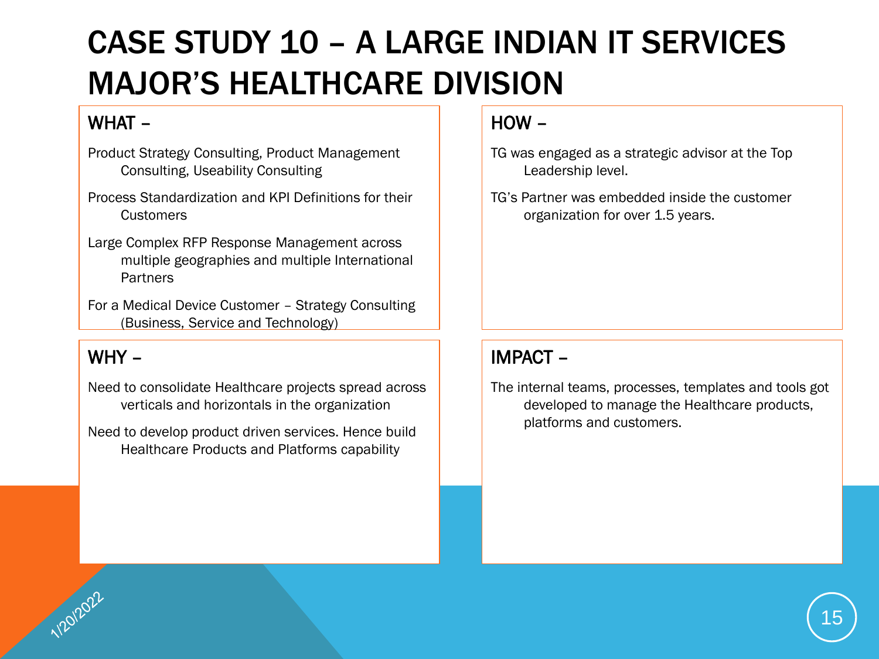# CASE STUDY 10 – A LARGE INDIAN IT SERVICES MAJOR'S HEALTHCARE DIVISION

### WHAT –

- Product Strategy Consulting, Product Management Consulting, Useability Consulting
- Process Standardization and KPI Definitions for their **Customers**
- Large Complex RFP Response Management across multiple geographies and multiple International **Partners**
- For a Medical Device Customer Strategy Consulting (Business, Service and Technology)

#### WHY –

Need to consolidate Healthcare projects spread across verticals and horizontals in the organization

Need to develop product driven services. Hence build Healthcare Products and Platforms capability

#### HOW –

- TG was engaged as a strategic advisor at the Top Leadership level.
- TG's Partner was embedded inside the customer organization for over 1.5 years.

### IMPACT –

The internal teams, processes, templates and tools got developed to manage the Healthcare products, platforms and customers.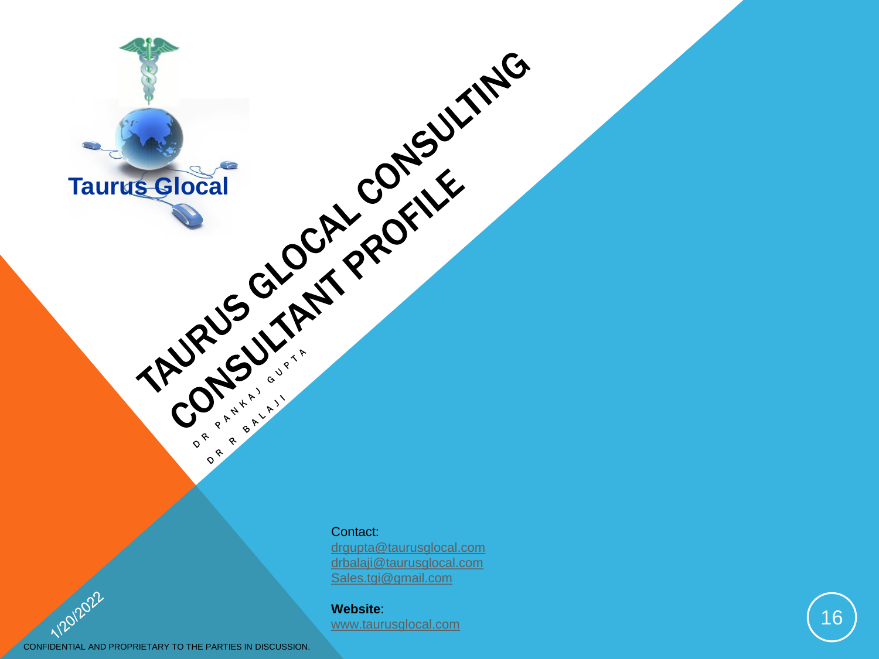

Taurus Glocal Cock of Registration

[drgupta@taurusglocal.com](mailto:drgupta@taurusglocal.com) [drbalaji@taurusglocal.com](mailto:drgupta@taurusglocal.com) [Sales.tgi@gmail.com](mailto:Sales.tgi@gmail.com)

#### **Website**: [www.taurusglocal.com](http://www.taurusglocal.com/)

CONFIDENTIAL AND PROPRIETARY TO THE PARTIES IN DISCUSSION.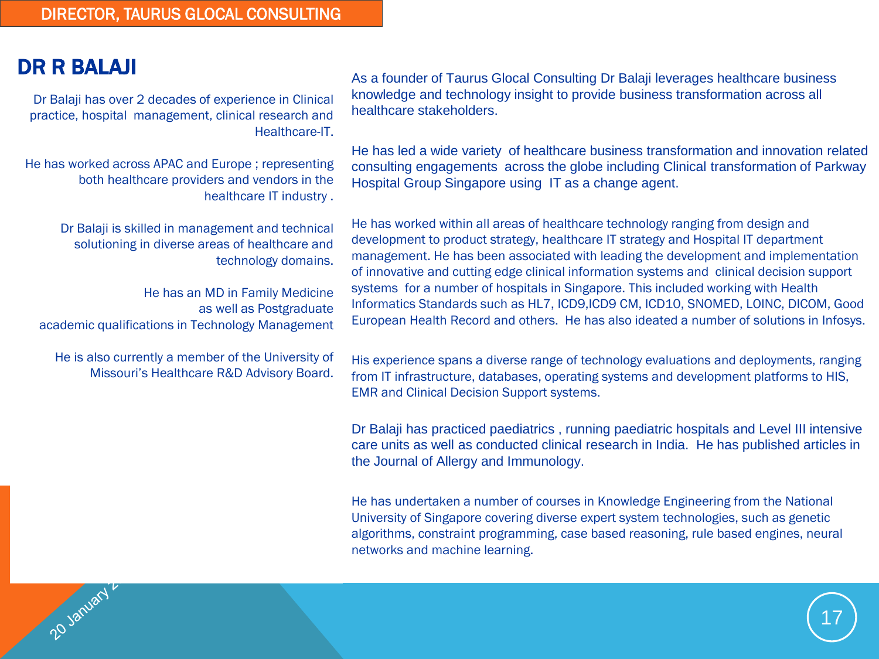#### DR R BALAJI

20 January L

Dr Balaji has over 2 decades of experience in Clinical practice, hospital management, clinical research and Healthcare-IT.

He has worked across APAC and Europe ; representing both healthcare providers and vendors in the healthcare IT industry .

> Dr Balaji is skilled in management and technical solutioning in diverse areas of healthcare and technology domains.

He has an MD in Family Medicine as well as Postgraduate academic qualifications in Technology Management

He is also currently a member of the University of Missouri's Healthcare R&D Advisory Board. As a founder of Taurus Glocal Consulting Dr Balaji leverages healthcare business knowledge and technology insight to provide business transformation across all healthcare stakeholders.

He has led a wide variety of healthcare business transformation and innovation related consulting engagements across the globe including Clinical transformation of Parkway Hospital Group Singapore using IT as a change agent.

He has worked within all areas of healthcare technology ranging from design and development to product strategy, healthcare IT strategy and Hospital IT department management. He has been associated with leading the development and implementation of innovative and cutting edge clinical information systems and clinical decision support systems for a number of hospitals in Singapore. This included working with Health Informatics Standards such as HL7, ICD9,ICD9 CM, ICD10, SNOMED, LOINC, DICOM, Good European Health Record and others. He has also ideated a number of solutions in Infosys.

His experience spans a diverse range of technology evaluations and deployments, ranging from IT infrastructure, databases, operating systems and development platforms to HIS, EMR and Clinical Decision Support systems.

Dr Balaji has practiced paediatrics , running paediatric hospitals and Level III intensive care units as well as conducted clinical research in India. He has published articles in the Journal of Allergy and Immunology.

He has undertaken a number of courses in Knowledge Engineering from the National University of Singapore covering diverse expert system technologies, such as genetic algorithms, constraint programming, case based reasoning, rule based engines, neural networks and machine learning.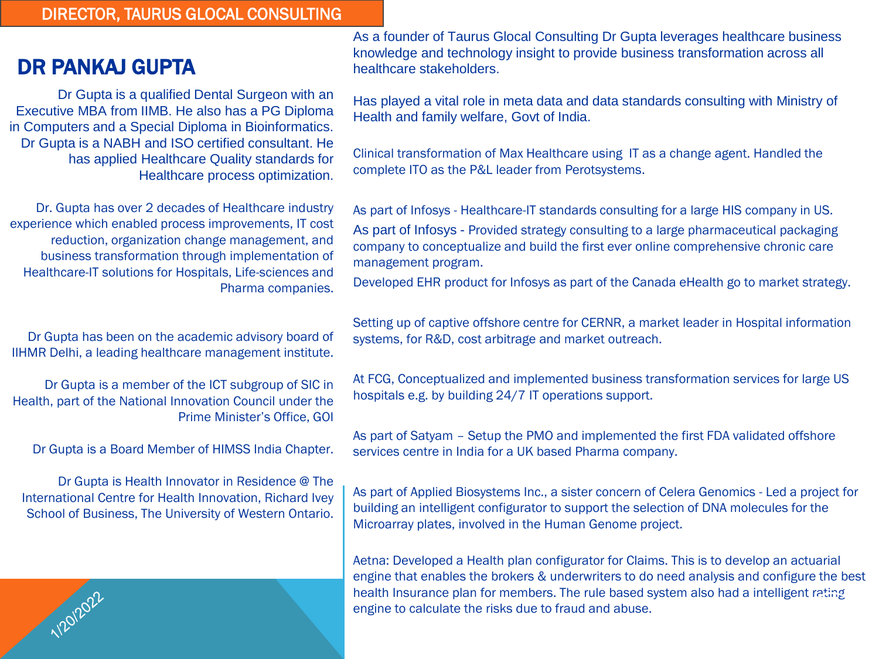#### DIRECTOR, TAURUS GLOCAL CONSULTING

#### DR PANKAJ GUPTA

Dr Gupta is a qualified Dental Surgeon with an Executive MBA from IIMB. He also has a PG Diploma in Computers and a Special Diploma in Bioinformatics. Dr Gupta is a NABH and ISO certified consultant. He has applied Healthcare Quality standards for Healthcare process optimization.

Dr. Gupta has over 2 decades of Healthcare industry experience which enabled process improvements, IT cost reduction, organization change management, and business transformation through implementation of Healthcare-IT solutions for Hospitals, Life-sciences and Pharma companies.

Dr Gupta has been on the academic advisory board of IIHMR Delhi, a leading healthcare management institute.

Dr Gupta is a member of the ICT subgroup of SIC in Health, part of the National Innovation Council under the Prime Minister's Office, GOI

Dr Gupta is a Board Member of HIMSS India Chapter.

Dr Gupta is Health Innovator in Residence @ The International Centre for Health Innovation, Richard Ivey School of Business, The University of Western Ontario.

1/20/2022

As a founder of Taurus Glocal Consulting Dr Gupta leverages healthcare business knowledge and technology insight to provide business transformation across all healthcare stakeholders.

Has played a vital role in meta data and data standards consulting with Ministry of Health and family welfare, Govt of India.

Clinical transformation of Max Healthcare using IT as a change agent. Handled the complete ITO as the P&L leader from Perotsystems.

As part of Infosys - Healthcare-IT standards consulting for a large HIS company in US. As part of Infosys - Provided strategy consulting to a large pharmaceutical packaging company to conceptualize and build the first ever online comprehensive chronic care management program.

Developed EHR product for Infosys as part of the Canada eHealth go to market strategy.

Setting up of captive offshore centre for CERNR, a market leader in Hospital information systems, for R&D, cost arbitrage and market outreach.

At FCG, Conceptualized and implemented business transformation services for large US hospitals e.g. by building 24/7 IT operations support.

As part of Satyam – Setup the PMO and implemented the first FDA validated offshore services centre in India for a UK based Pharma company.

As part of Applied Biosystems Inc., a sister concern of Celera Genomics - Led a project for building an intelligent configurator to support the selection of DNA molecules for the Microarray plates, involved in the Human Genome project.

Aetna: Developed a Health plan configurator for Claims. This is to develop an actuarial engine that enables the brokers & underwriters to do need analysis and configure the best health Insurance plan for members. The rule based system also had a intelligent rating engine to calculate the risks due to fraud and abuse.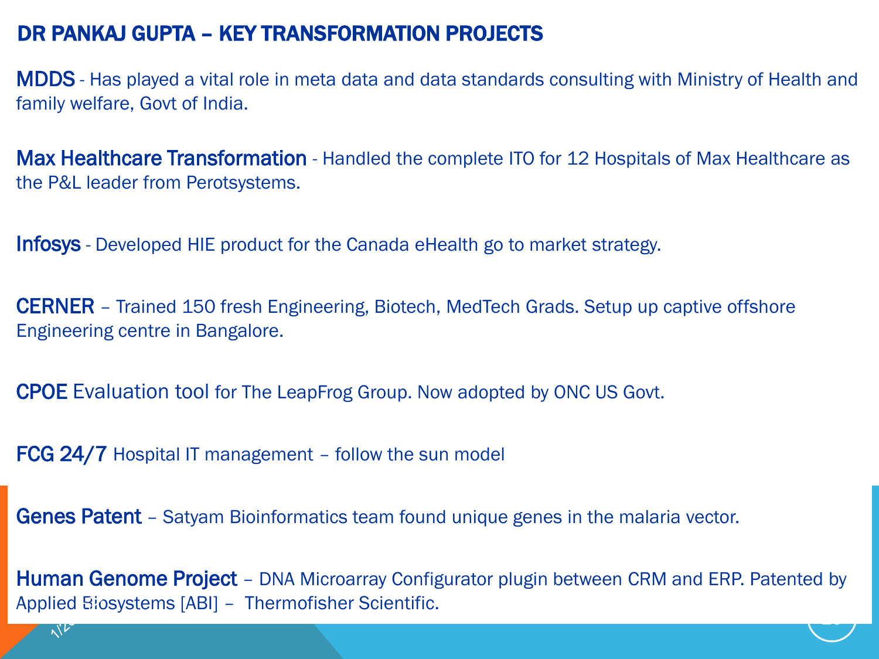### DR PANKAJ GUPTA – KEY TRANSFORMATION PROJECTS

MDDS - Has played a vital role in meta data and data standards consulting with Ministry of Health and family welfare, Govt of India.

**Max Healthcare Transformation** - Handled the complete ITO for 12 Hospitals of Max Healthcare as the P&L leader from Perotsystems.

Infosys - Developed HIE product for the Canada eHealth go to market strategy.

CERNER – Trained 150 fresh Engineering, Biotech, MedTech Grads. Setup up captive offshore Engineering centre in Bangalore.

CPOE Evaluation tool for The LeapFrog Group. Now adopted by ONC US Govt.

FCG 24/7 Hospital IT management – follow the sun model

Genes Patent - Satyam Bioinformatics team found unique genes in the malaria vector.

Human Genome Project – DNA Microarray Configurator plugin between CRM and ERP. Patented by Applied Biosystems [ABI] – Thermofisher Scientific. 19<br>19 Marca 1990<br>1991 - Johann Johann Johann Johann Johann Johann Johann Johann Johann Johann Johann Johann Johann Johann Joha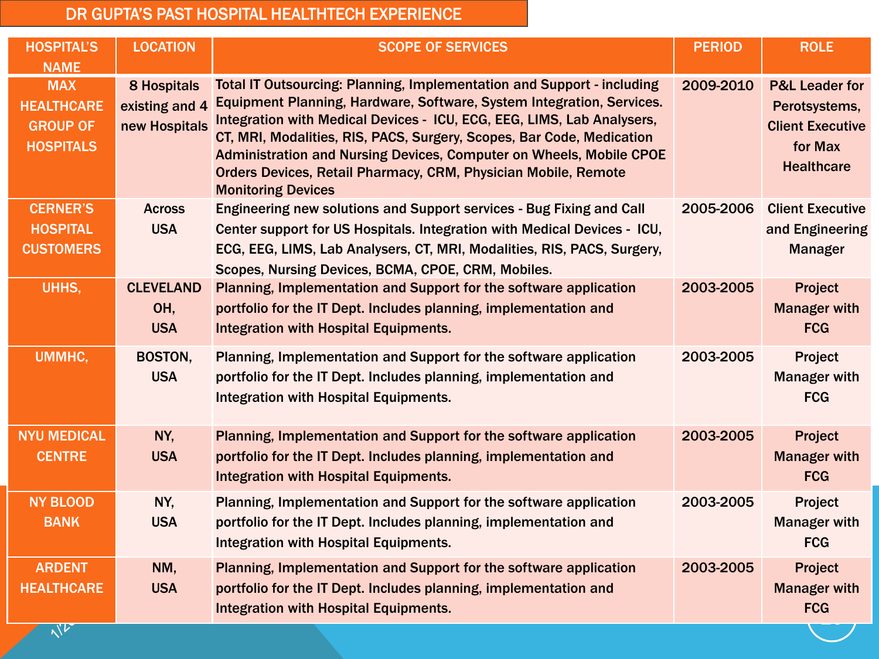#### DR GUPTA'S PAST HOSPITAL HEALTHTECH EXPERIENCE

| <b>HOSPITAL'S</b><br><b>NAME</b>                                       | <b>LOCATION</b>                                       | <b>SCOPE OF SERVICES</b>                                                                                                                                                                                                                                                                                                                                                                                                                                                               | <b>PERIOD</b> | <b>ROLE</b>                                                                                           |
|------------------------------------------------------------------------|-------------------------------------------------------|----------------------------------------------------------------------------------------------------------------------------------------------------------------------------------------------------------------------------------------------------------------------------------------------------------------------------------------------------------------------------------------------------------------------------------------------------------------------------------------|---------------|-------------------------------------------------------------------------------------------------------|
| <b>MAX</b><br><b>HEALTHCARE</b><br><b>GROUP OF</b><br><b>HOSPITALS</b> | <b>8 Hospitals</b><br>existing and 4<br>new Hospitals | <b>Total IT Outsourcing: Planning, Implementation and Support - including</b><br>Equipment Planning, Hardware, Software, System Integration, Services.<br>Integration with Medical Devices - ICU, ECG, EEG, LIMS, Lab Analysers,<br>CT, MRI, Modalities, RIS, PACS, Surgery, Scopes, Bar Code, Medication<br>Administration and Nursing Devices, Computer on Wheels, Mobile CPOE<br><b>Orders Devices, Retail Pharmacy, CRM, Physician Mobile, Remote</b><br><b>Monitoring Devices</b> | 2009-2010     | <b>P&amp;L Leader for</b><br>Perotsystems,<br><b>Client Executive</b><br>for Max<br><b>Healthcare</b> |
| <b>CERNER'S</b><br><b>HOSPITAL</b><br><b>CUSTOMERS</b>                 | <b>Across</b><br><b>USA</b>                           | Engineering new solutions and Support services - Bug Fixing and Call<br>Center support for US Hospitals. Integration with Medical Devices - ICU,<br>ECG, EEG, LIMS, Lab Analysers, CT, MRI, Modalities, RIS, PACS, Surgery,<br>Scopes, Nursing Devices, BCMA, CPOE, CRM, Mobiles.                                                                                                                                                                                                      | 2005-2006     | <b>Client Executive</b><br>and Engineering<br><b>Manager</b>                                          |
| UHHS,                                                                  | <b>CLEVELAND</b><br>OH,<br><b>USA</b>                 | Planning, Implementation and Support for the software application<br>portfolio for the IT Dept. Includes planning, implementation and<br><b>Integration with Hospital Equipments.</b>                                                                                                                                                                                                                                                                                                  | 2003-2005     | Project<br><b>Manager with</b><br><b>FCG</b>                                                          |
| UMMHC,                                                                 | BOSTON,<br><b>USA</b>                                 | Planning, Implementation and Support for the software application<br>portfolio for the IT Dept. Includes planning, implementation and<br>Integration with Hospital Equipments.                                                                                                                                                                                                                                                                                                         | 2003-2005     | Project<br><b>Manager with</b><br><b>FCG</b>                                                          |
| <b>NYU MEDICAL</b><br><b>CENTRE</b>                                    | NY,<br><b>USA</b>                                     | Planning, Implementation and Support for the software application<br>portfolio for the IT Dept. Includes planning, implementation and<br><b>Integration with Hospital Equipments.</b>                                                                                                                                                                                                                                                                                                  | 2003-2005     | Project<br><b>Manager with</b><br><b>FCG</b>                                                          |
| <b>NY BLOOD</b><br><b>BANK</b>                                         | NY,<br><b>USA</b>                                     | Planning, Implementation and Support for the software application<br>portfolio for the IT Dept. Includes planning, implementation and<br>Integration with Hospital Equipments.                                                                                                                                                                                                                                                                                                         | 2003-2005     | Project<br><b>Manager with</b><br><b>FCG</b>                                                          |
| <b>ARDENT</b><br><b>HEALTHCARE</b>                                     | NM,<br><b>USA</b>                                     | Planning, Implementation and Support for the software application<br>portfolio for the IT Dept. Includes planning, implementation and<br><b>Integration with Hospital Equipments.</b>                                                                                                                                                                                                                                                                                                  | 2003-2005     | Project<br><b>Manager with</b><br><b>FCG</b>                                                          |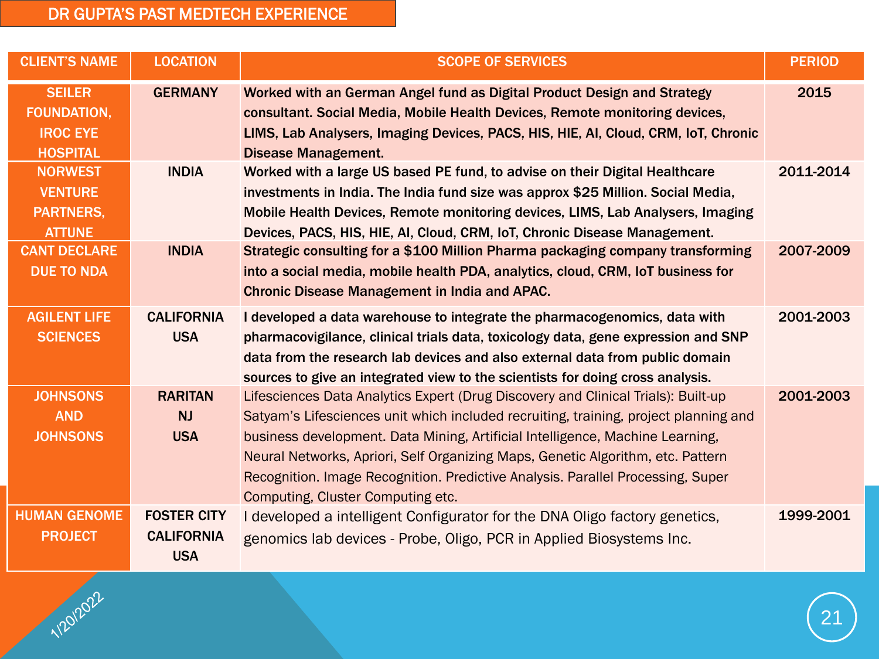#### DR GUPTA'S PAST MEDTECH EXPERIENCE

1/20/2022

| <b>CLIENT'S NAME</b>                                                      | <b>LOCATION</b>                                       | <b>SCOPE OF SERVICES</b>                                                                                                                                                                                                                                                                                                                                                                                                                                              | <b>PERIOD</b> |
|---------------------------------------------------------------------------|-------------------------------------------------------|-----------------------------------------------------------------------------------------------------------------------------------------------------------------------------------------------------------------------------------------------------------------------------------------------------------------------------------------------------------------------------------------------------------------------------------------------------------------------|---------------|
| <b>SEILER</b><br><b>FOUNDATION,</b><br><b>IROC EYE</b><br><b>HOSPITAL</b> | <b>GERMANY</b>                                        | Worked with an German Angel fund as Digital Product Design and Strategy<br>consultant. Social Media, Mobile Health Devices, Remote monitoring devices,<br>LIMS, Lab Analysers, Imaging Devices, PACS, HIS, HIE, AI, Cloud, CRM, IoT, Chronic<br><b>Disease Management.</b>                                                                                                                                                                                            | 2015          |
| <b>NORWEST</b><br><b>VENTURE</b><br><b>PARTNERS,</b><br><b>ATTUNE</b>     | <b>INDIA</b>                                          | Worked with a large US based PE fund, to advise on their Digital Healthcare<br>investments in India. The India fund size was approx \$25 Million. Social Media,<br>Mobile Health Devices, Remote monitoring devices, LIMS, Lab Analysers, Imaging<br>Devices, PACS, HIS, HIE, AI, Cloud, CRM, IoT, Chronic Disease Management.                                                                                                                                        | 2011-2014     |
| <b>CANT DECLARE</b><br><b>DUE TO NDA</b>                                  | <b>INDIA</b>                                          | Strategic consulting for a \$100 Million Pharma packaging company transforming<br>into a social media, mobile health PDA, analytics, cloud, CRM, IoT business for<br><b>Chronic Disease Management in India and APAC.</b>                                                                                                                                                                                                                                             | 2007-2009     |
| <b>AGILENT LIFE</b><br><b>SCIENCES</b>                                    | <b>CALIFORNIA</b><br><b>USA</b>                       | I developed a data warehouse to integrate the pharmacogenomics, data with<br>pharmacovigilance, clinical trials data, toxicology data, gene expression and SNP<br>data from the research lab devices and also external data from public domain<br>sources to give an integrated view to the scientists for doing cross analysis.                                                                                                                                      | 2001-2003     |
| <b>JOHNSONS</b><br><b>AND</b><br><b>JOHNSONS</b>                          | <b>RARITAN</b><br><b>NJ</b><br><b>USA</b>             | Lifesciences Data Analytics Expert (Drug Discovery and Clinical Trials): Built-up<br>Satyam's Lifesciences unit which included recruiting, training, project planning and<br>business development. Data Mining, Artificial Intelligence, Machine Learning,<br>Neural Networks, Apriori, Self Organizing Maps, Genetic Algorithm, etc. Pattern<br>Recognition. Image Recognition. Predictive Analysis. Parallel Processing, Super<br>Computing, Cluster Computing etc. | 2001-2003     |
| <b>HUMAN GENOME</b><br><b>PROJECT</b>                                     | <b>FOSTER CITY</b><br><b>CALIFORNIA</b><br><b>USA</b> | I developed a intelligent Configurator for the DNA Oligo factory genetics,<br>genomics lab devices - Probe, Oligo, PCR in Applied Biosystems Inc.                                                                                                                                                                                                                                                                                                                     | 1999-2001     |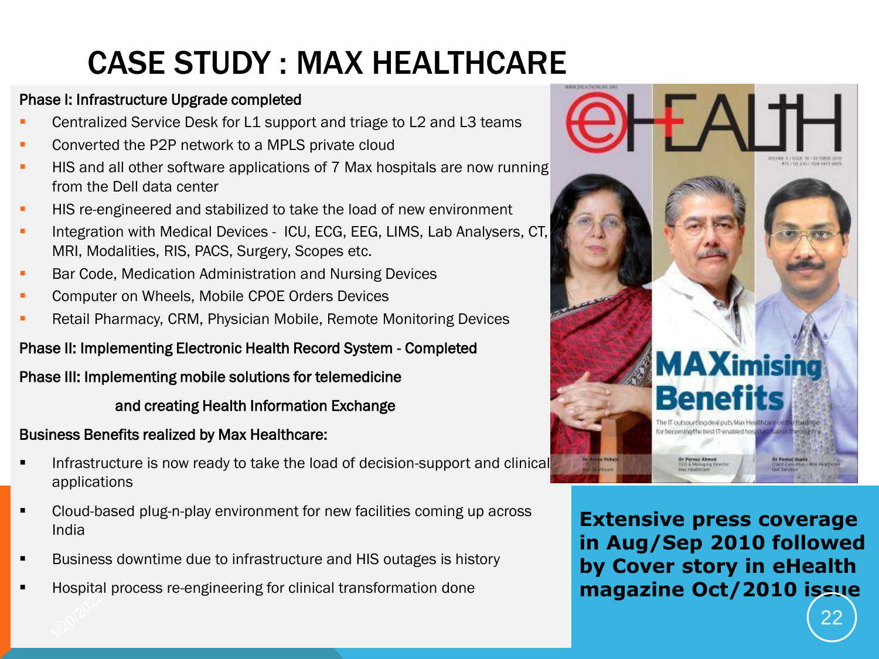# CASE STUDY : MAX HEALTHCARE

#### Phase I: Infrastructure Upgrade completed

- Centralized Service Desk for L1 support and triage to L2 and L3 teams
- Converted the P2P network to a MPLS private cloud
- HIS and all other software applications of 7 Max hospitals are now running from the Dell data center
- HIS re-engineered and stabilized to take the load of new environment
- Integration with Medical Devices ICU, ECG, EEG, LIMS, Lab Analysers, CT, MRI, Modalities, RIS, PACS, Surgery, Scopes etc.
- Bar Code, Medication Administration and Nursing Devices
- Computer on Wheels, Mobile CPOE Orders Devices
- Retail Pharmacy, CRM, Physician Mobile, Remote Monitoring Devices

#### Phase II: Implementing Electronic Health Record System - Completed

#### Phase III: Implementing mobile solutions for telemedicine

#### and creating Health Information Exchange

#### Business Benefits realized by Max Healthcare:

- Infrastructure is now ready to take the load of decision-support and clinical applications
- Cloud-based plug-n-play environment for new facilities coming up across India
- Business downtime due to infrastructure and HIS outages is history
- Hospital process re-engineering for clinical transformation done



**Extensive press coverage in Aug/Sep 2010 followed by Cover story in eHealth magazine Oct/2010 issue**